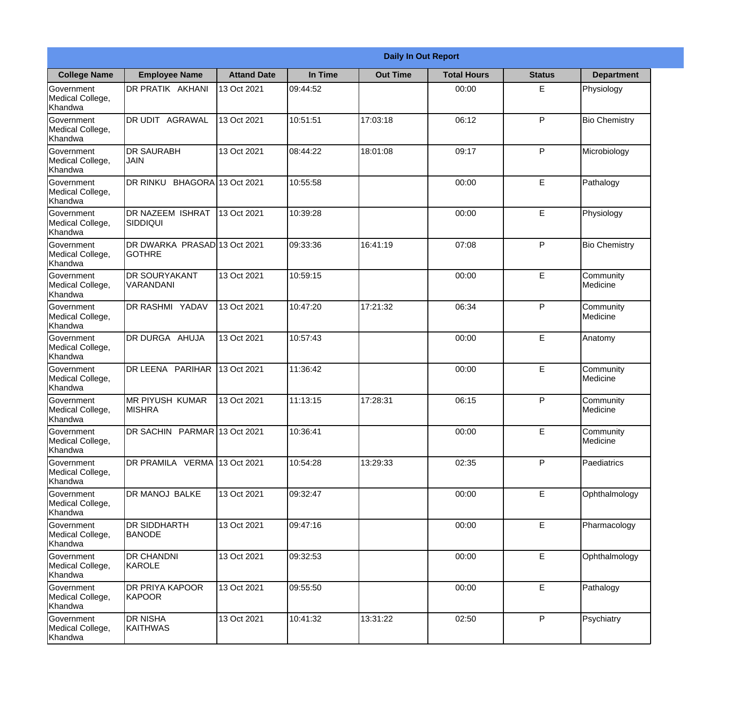|                                                  | <b>Daily In Out Report</b>                    |                     |          |                 |                    |               |                              |  |
|--------------------------------------------------|-----------------------------------------------|---------------------|----------|-----------------|--------------------|---------------|------------------------------|--|
| <b>College Name</b>                              | <b>Employee Name</b>                          | <b>Attand Date</b>  | In Time  | <b>Out Time</b> | <b>Total Hours</b> | <b>Status</b> | <b>Department</b>            |  |
| Government<br>Medical College,<br>Khandwa        | <b>DR PRATIK AKHANI</b>                       | 13 Oct 2021         | 09:44:52 |                 | 00:00              | E.            | Physiology                   |  |
| Government<br>Medical College,<br>Khandwa        | <b>AGRAWAL</b><br>DR UDIT                     | 13 Oct 2021         | 10:51:51 | 17:03:18        | 06:12              | P             | <b>Bio Chemistry</b>         |  |
| <b>Government</b><br>Medical College,<br>Khandwa | <b>DR SAURABH</b><br><b>JAIN</b>              | 13 Oct 2021         | 08:44:22 | 18:01:08        | 09:17              | P             | Microbiology                 |  |
| Government<br>Medical College,<br>Khandwa        | DR RINKU                                      | BHAGORA 13 Oct 2021 | 10:55:58 |                 | 00:00              | E             | Pathalogy                    |  |
| Government<br>Medical College,<br>Khandwa        | <b>DR NAZEEM ISHRAT</b><br> SIDDIQUI          | 13 Oct 2021         | 10:39:28 |                 | 00:00              | E             | Physiology                   |  |
| Government<br>Medical College,<br>Khandwa        | DR DWARKA PRASAD 13 Oct 2021<br><b>GOTHRE</b> |                     | 09:33:36 | 16:41:19        | 07:08              | P             | <b>Bio Chemistry</b>         |  |
| Government<br>Medical College,<br>Khandwa        | <b>DR SOURYAKANT</b><br>VARANDANI             | 13 Oct 2021         | 10:59:15 |                 | 00:00              | E             | Community<br>Medicine        |  |
| Government<br>Medical College,<br>Khandwa        | DR RASHMI YADAV                               | 13 Oct 2021         | 10:47:20 | 17:21:32        | 06:34              | P             | Community<br>Medicine        |  |
| Government<br>Medical College,<br>Khandwa        | <b>DR DURGA AHUJA</b>                         | 13 Oct 2021         | 10:57:43 |                 | 00:00              | E             | Anatomy                      |  |
| Government<br>Medical College,<br>Khandwa        | DR LEENA PARIHAR                              | 13 Oct 2021         | 11:36:42 |                 | 00:00              | E             | Community<br><b>Medicine</b> |  |
| Government<br>Medical College,<br>Khandwa        | IMR PIYUSH KUMAR<br><b>MISHRA</b>             | 13 Oct 2021         | 11:13:15 | 17:28:31        | 06:15              | P             | Community<br>Medicine        |  |
| Government<br>Medical College,<br>Khandwa        | DR SACHIN PARMAR 13 Oct 2021                  |                     | 10:36:41 |                 | 00:00              | E             | Community<br>Medicine        |  |
| Government<br>Medical College,<br>Khandwa        | DR PRAMILA VERMA 13 Oct 2021                  |                     | 10:54:28 | 13:29:33        | 02:35              | P             | Paediatrics                  |  |
| Government<br>Medical College,<br>Khandwa        | DR MANOJ BALKE                                | 13 Oct 2021         | 09:32:47 |                 | 00:00              | E             | Ophthalmology                |  |
| Government<br>Medical College,<br>Khandwa        | DR SIDDHARTH<br><b>BANODE</b>                 | 13 Oct 2021         | 09:47:16 |                 | 00:00              | E             | Pharmacology                 |  |
| Government<br>Medical College,<br>Khandwa        | <b>DR CHANDNI</b><br>KAROLE                   | 13 Oct 2021         | 09:32:53 |                 | 00:00              | $\mathsf E$   | Ophthalmology                |  |
| Government<br>Medical College,<br>Khandwa        | <b>DR PRIYA KAPOOR</b><br>KAPOOR              | 13 Oct 2021         | 09:55:50 |                 | 00:00              | E             | Pathalogy                    |  |
| Government<br>Medical College,<br>Khandwa        | <b>DR NISHA</b><br>KAITHWAS                   | 13 Oct 2021         | 10:41:32 | 13:31:22        | 02:50              | P             | Psychiatry                   |  |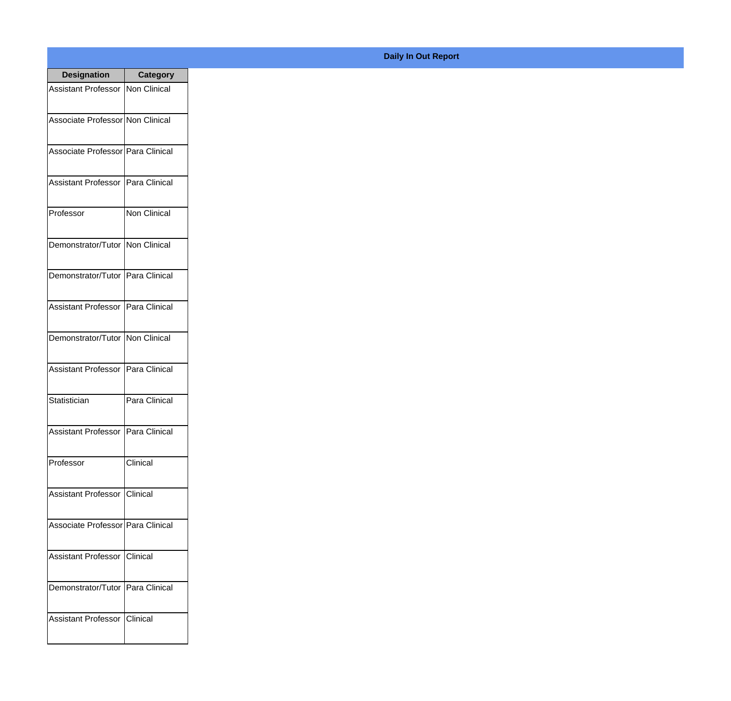| <b>Designation</b>                  | Category            |
|-------------------------------------|---------------------|
| Assistant Professor Non Clinical    |                     |
| Associate Professor Non Clinical    |                     |
| Associate Professor Para Clinical   |                     |
| <b>Assistant Professor</b>          | Para Clinical       |
| Professor                           | <b>Non Clinical</b> |
| Demonstrator/Tutor   Non Clinical   |                     |
| Demonstrator/Tutor   Para Clinical  |                     |
| <b>Assistant Professor</b>          | Para Clinical       |
| Demonstrator/Tutor                  | Non Clinical        |
| <b>Assistant Professor</b>          | Para Clinical       |
| Statistician                        | Para Clinical       |
| Assistant Professor   Para Clinical |                     |
| Professor                           | Clinical            |
| Assistant Professor   Clinical      |                     |
| Associate Professor Para Clinical   |                     |
| <b>Assistant Professor</b>          | Clinical            |
| Demonstrator/Tutor   Para Clinical  |                     |
| Assistant Professor   Clinical      |                     |

## **Daily In Out Report**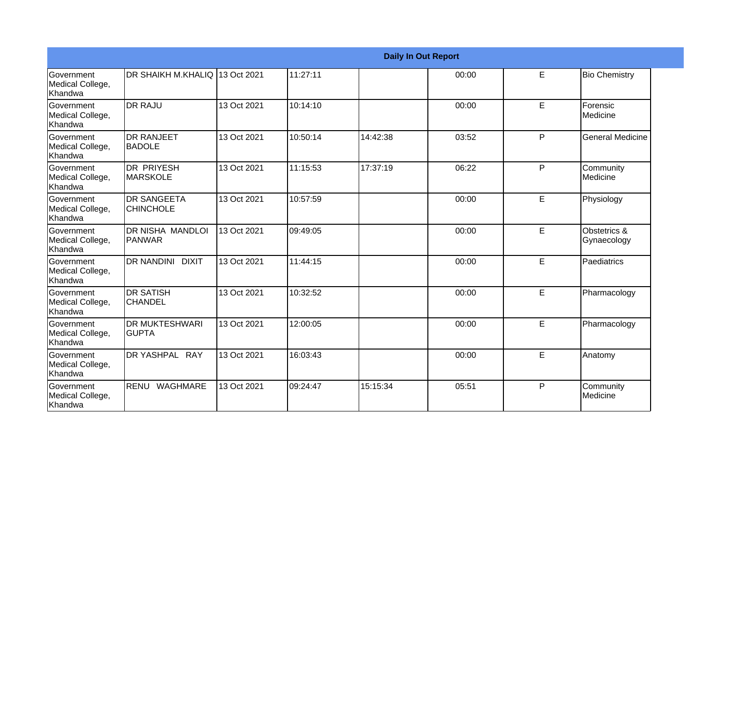|                                                  |                                         |             |          |          | <b>Daily In Out Report</b> |    |                              |
|--------------------------------------------------|-----------------------------------------|-------------|----------|----------|----------------------------|----|------------------------------|
| <b>Government</b><br>Medical College,<br>Khandwa | DR SHAIKH M.KHALIQ 13 Oct 2021          |             | 11:27:11 |          | 00:00                      | E. | <b>Bio Chemistry</b>         |
| Government<br>Medical College,<br>Khandwa        | <b>DR RAJU</b>                          | 13 Oct 2021 | 10:14:10 |          | 00:00                      | E  | Forensic<br>Medicine         |
| Government<br>Medical College,<br>Khandwa        | <b>DR RANJEET</b><br><b>BADOLE</b>      | 13 Oct 2021 | 10:50:14 | 14:42:38 | 03:52                      | P  | <b>General Medicine</b>      |
| <b>Government</b><br>Medical College,<br>Khandwa | <b>DR PRIYESH</b><br><b>IMARSKOLE</b>   | 13 Oct 2021 | 11:15:53 | 17:37:19 | 06:22                      | P  | Community<br><b>Medicine</b> |
| Government<br>Medical College,<br>Khandwa        | <b>DR SANGEETA</b><br><b>CHINCHOLE</b>  | 13 Oct 2021 | 10:57:59 |          | 00:00                      | E  | Physiology                   |
| Government<br>Medical College,<br> Khandwa       | <b>DR NISHA MANDLOI</b><br>PANWAR       | 13 Oct 2021 | 09:49:05 |          | 00:00                      | E  | Obstetrics &<br>Gynaecology  |
| Government<br>Medical College,<br>Khandwa        | DR NANDINI DIXIT                        | 13 Oct 2021 | 11:44:15 |          | 00:00                      | E. | Paediatrics                  |
| <b>Government</b><br>Medical College,<br>Khandwa | <b>DR SATISH</b><br>ICHANDEL            | 13 Oct 2021 | 10:32:52 |          | 00:00                      | E  | Pharmacology                 |
| <b>Government</b><br>Medical College,<br>Khandwa | <b>DR MUKTESHWARI</b><br><b>I</b> GUPTA | 13 Oct 2021 | 12:00:05 |          | 00:00                      | E. | Pharmacology                 |
| Government<br>Medical College,<br>Khandwa        | DR YASHPAL RAY                          | 13 Oct 2021 | 16:03:43 |          | 00:00                      | E  | Anatomy                      |
| <b>Government</b><br>Medical College,<br>Khandwa | RENU WAGHMARE                           | 13 Oct 2021 | 09:24:47 | 15:15:34 | 05:51                      | P  | Community<br>Medicine        |